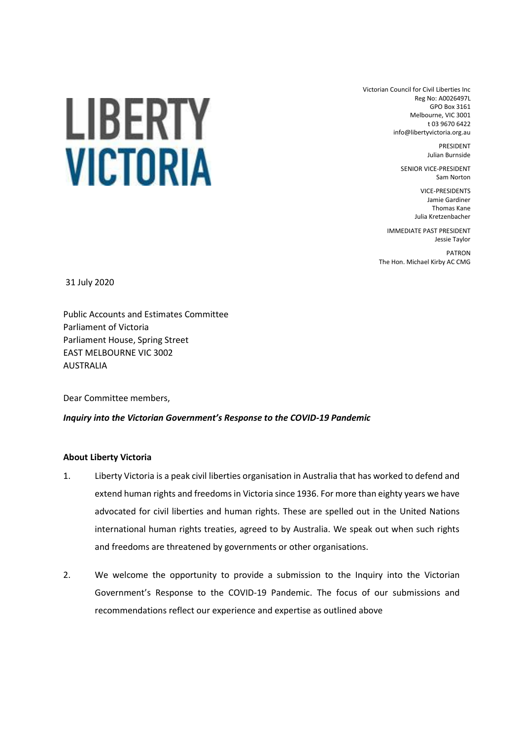Victorian Council for Civil Liberties Inc Reg No: A0026497L GPO Box 3161 Melbourne, VIC 3001 t 03 9670 6422 info@libertyvictoria.org.au

> PRESIDENT Julian Burnside

SENIOR VICE-PRESIDENT Sam Norton

> VICE-PRESIDENTS Jamie Gardiner Thomas Kane Julia Kretzenbacher

IMMEDIATE PAST PRESIDENT Jessie Taylor PATRON

The Hon. Michael Kirby AC CMG

31 July 2020

Public Accounts and Estimates Committee Parliament of Victoria Parliament House, Spring Street EAST MELBOURNE VIC 3002 AUSTRALIA

Dear Committee members,

## *Inquiry into the Victorian Government's Response to the COVID-19 Pandemic*

## **About Liberty Victoria**

- 1. Liberty Victoria is a peak civil liberties organisation in Australia that has worked to defend and extend human rights and freedoms in Victoria since 1936. For more than eighty years we have advocated for civil liberties and human rights. These are spelled out in the United Nations international human rights treaties, agreed to by Australia. We speak out when such rights and freedoms are threatened by governments or other organisations.
- 2. We welcome the opportunity to provide a submission to the Inquiry into the Victorian Government's Response to the COVID-19 Pandemic. The focus of our submissions and recommendations reflect our experience and expertise as outlined above

# LIBERTY **VICTORIA**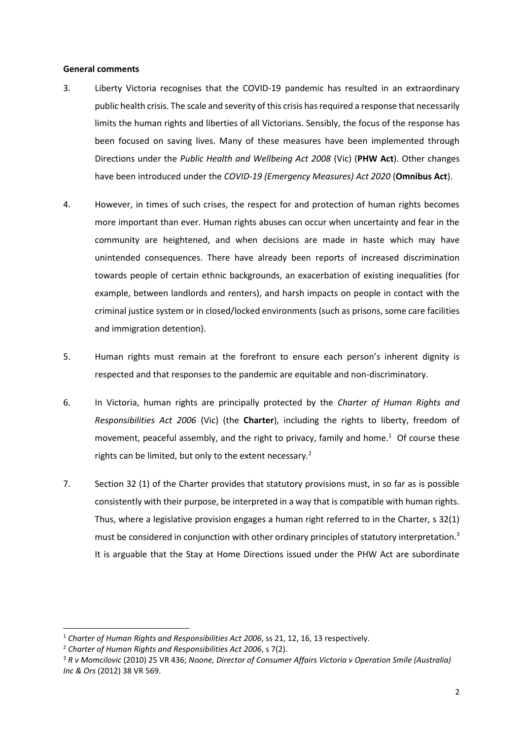#### **General comments**

- 3. Liberty Victoria recognises that the COVID-19 pandemic has resulted in an extraordinary public health crisis. The scale and severity of this crisis has required a response that necessarily limits the human rights and liberties of all Victorians. Sensibly, the focus of the response has been focused on saving lives. Many of these measures have been implemented through Directions under the *Public Health and Wellbeing Act 2008* (Vic) (**PHW Act**). Other changes have been introduced under the *COVID-19 (Emergency Measures) Act 2020* (**Omnibus Act**).
- 4. However, in times of such crises, the respect for and protection of human rights becomes more important than ever. Human rights abuses can occur when uncertainty and fear in the community are heightened, and when decisions are made in haste which may have unintended consequences. There have already been reports of increased discrimination towards people of certain ethnic backgrounds, an exacerbation of existing inequalities (for example, between landlords and renters), and harsh impacts on people in contact with the criminal justice system or in closed/locked environments (such as prisons, some care facilities and immigration detention).
- 5. Human rights must remain at the forefront to ensure each person's inherent dignity is respected and that responses to the pandemic are equitable and non-discriminatory.
- 6. In Victoria, human rights are principally protected by the *Charter of Human Rights and Responsibilities Act 2006* (Vic) (the **Charter**), including the rights to liberty, freedom of movement, peaceful assembly, and the right to privacy, family and home.<sup>1</sup> Of course these rights can be limited, but only to the extent necessary.<sup>2</sup>
- 7. Section 32 (1) of the Charter provides that statutory provisions must, in so far as is possible consistently with their purpose, be interpreted in a way that is compatible with human rights. Thus, where a legislative provision engages a human right referred to in the Charter, s 32(1) must be considered in conjunction with other ordinary principles of statutory interpretation.<sup>3</sup> It is arguable that the Stay at Home Directions issued under the PHW Act are subordinate

<sup>1</sup> *Charter of Human Rights and Responsibilities Act 2006*, ss 21, 12, 16, 13 respectively.

<sup>2</sup> *Charter of Human Rights and Responsibilities Act 2006*, s 7(2).

<sup>3</sup> *R v Momcilovic* (2010) 25 VR 436; *Noone, Director of Consumer Affairs Victoria v Operation Smile (Australia) Inc & Ors* (2012) 38 VR 569.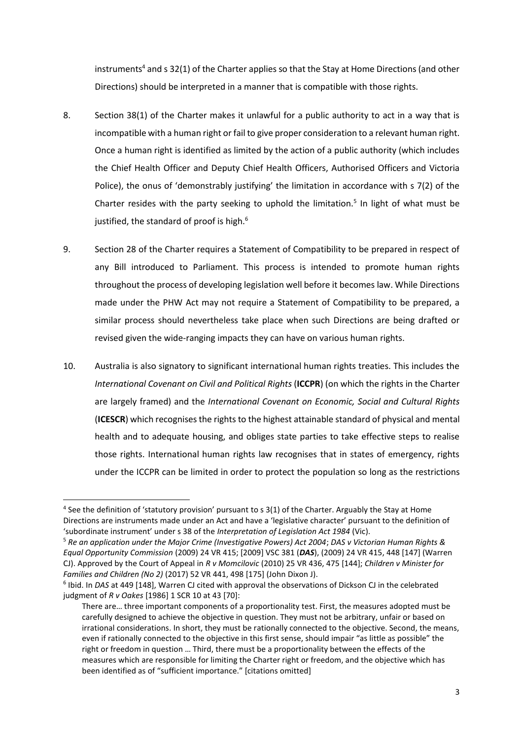instruments<sup>4</sup> and s 32(1) of the Charter applies so that the Stay at Home Directions (and other Directions) should be interpreted in a manner that is compatible with those rights.

- 8. Section 38(1) of the Charter makes it unlawful for a public authority to act in a way that is incompatible with a human right or fail to give proper consideration to a relevant human right. Once a human right is identified as limited by the action of a public authority (which includes the Chief Health Officer and Deputy Chief Health Officers, Authorised Officers and Victoria Police), the onus of 'demonstrably justifying' the limitation in accordance with s 7(2) of the Charter resides with the party seeking to uphold the limitation.<sup>5</sup> In light of what must be justified, the standard of proof is high. $6$
- 9. Section 28 of the Charter requires a Statement of Compatibility to be prepared in respect of any Bill introduced to Parliament. This process is intended to promote human rights throughout the process of developing legislation well before it becomes law. While Directions made under the PHW Act may not require a Statement of Compatibility to be prepared, a similar process should nevertheless take place when such Directions are being drafted or revised given the wide-ranging impacts they can have on various human rights.
- 10. Australia is also signatory to significant international human rights treaties. This includes the *International Covenant on Civil and Political Rights* (**ICCPR**) (on which the rights in the Charter are largely framed) and the *International Covenant on Economic, Social and Cultural Rights* (**ICESCR**) which recognises the rights to the highest attainable standard of physical and mental health and to adequate housing, and obliges state parties to take effective steps to realise those rights. International human rights law recognises that in states of emergency, rights under the ICCPR can be limited in order to protect the population so long as the restrictions

<sup>&</sup>lt;sup>4</sup> See the definition of 'statutory provision' pursuant to s 3(1) of the Charter. Arguably the Stay at Home Directions are instruments made under an Act and have a 'legislative character' pursuant to the definition of 'subordinate instrument' under s 38 of the *Interpretation of Legislation Act 1984* (Vic).

<sup>5</sup> *Re an application under the Major Crime (Investigative Powers) Act 2004*; *DAS v Victorian Human Rights & Equal Opportunity Commission* (2009) 24 VR 415; [2009] VSC 381 (*DAS*), (2009) 24 VR 415, 448 [147] (Warren CJ). Approved by the Court of Appeal in *R v Momcilovic* (2010) 25 VR 436, 475 [144]; *Children v Minister for Families and Children (No 2)* (2017) 52 VR 441, 498 [175] (John Dixon J).

<sup>&</sup>lt;sup>6</sup> Ibid. In *DAS* at 449 [148], Warren CJ cited with approval the observations of Dickson CJ in the celebrated judgment of *R v Oakes* [1986] 1 SCR 10 at 43 [70]:

There are… three important components of a proportionality test. First, the measures adopted must be carefully designed to achieve the objective in question. They must not be arbitrary, unfair or based on irrational considerations. In short, they must be rationally connected to the objective. Second, the means, even if rationally connected to the objective in this first sense, should impair "as little as possible" the right or freedom in question … Third, there must be a proportionality between the effects of the measures which are responsible for limiting the Charter right or freedom, and the objective which has been identified as of "sufficient importance." [citations omitted]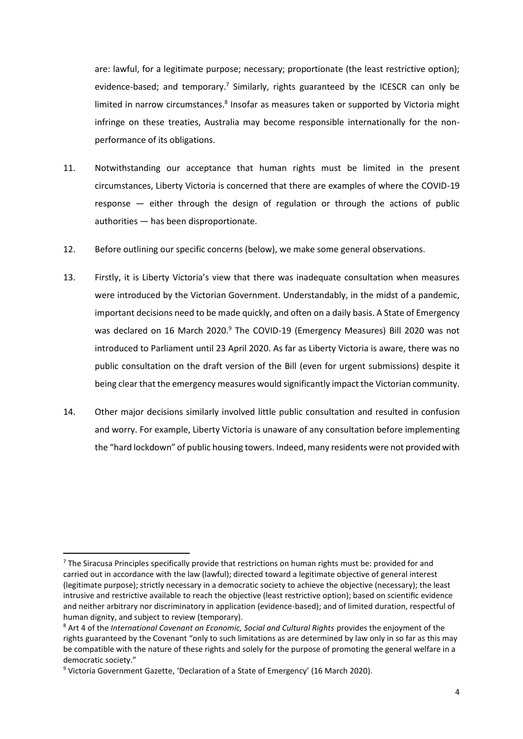are: lawful, for a legitimate purpose; necessary; proportionate (the least restrictive option); evidence-based; and temporary.<sup>7</sup> Similarly, rights guaranteed by the ICESCR can only be limited in narrow circumstances.<sup>8</sup> Insofar as measures taken or supported by Victoria might infringe on these treaties, Australia may become responsible internationally for the nonperformance of its obligations.

- 11. Notwithstanding our acceptance that human rights must be limited in the present circumstances, Liberty Victoria is concerned that there are examples of where the COVID-19 response — either through the design of regulation or through the actions of public authorities — has been disproportionate.
- 12. Before outlining our specific concerns (below), we make some general observations.
- 13. Firstly, it is Liberty Victoria's view that there was inadequate consultation when measures were introduced by the Victorian Government. Understandably, in the midst of a pandemic, important decisions need to be made quickly, and often on a daily basis. A State of Emergency was declared on 16 March 2020.<sup>9</sup> The COVID-19 (Emergency Measures) Bill 2020 was not introduced to Parliament until 23 April 2020. As far as Liberty Victoria is aware, there was no public consultation on the draft version of the Bill (even for urgent submissions) despite it being clear that the emergency measures would significantly impact the Victorian community.
- 14. Other major decisions similarly involved little public consultation and resulted in confusion and worry. For example, Liberty Victoria is unaware of any consultation before implementing the "hard lockdown" of public housing towers. Indeed, many residents were not provided with

 $7$  The Siracusa Principles specifically provide that restrictions on human rights must be: provided for and carried out in accordance with the law (lawful); directed toward a legitimate objective of general interest (legitimate purpose); strictly necessary in a democratic society to achieve the objective (necessary); the least intrusive and restrictive available to reach the objective (least restrictive option); based on scientific evidence and neither arbitrary nor discriminatory in application (evidence-based); and of limited duration, respectful of human dignity, and subject to review (temporary).

<sup>8</sup> Art 4 of the *International Covenant on Economic, Social and Cultural Rights* provides the enjoyment of the rights guaranteed by the Covenant "only to such limitations as are determined by law only in so far as this may be compatible with the nature of these rights and solely for the purpose of promoting the general welfare in a democratic society."

<sup>9</sup> Victoria Government Gazette, 'Declaration of a State of Emergency' (16 March 2020).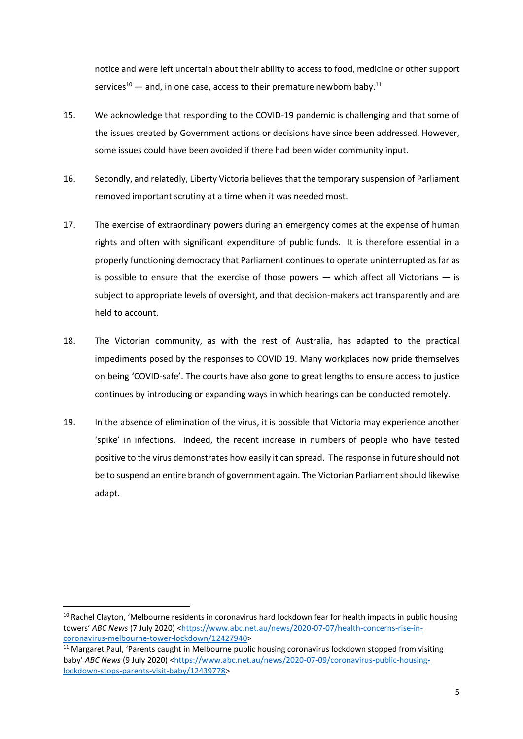notice and were left uncertain about their ability to access to food, medicine or other support services<sup>10</sup> — and, in one case, access to their premature newborn baby.<sup>11</sup>

- 15. We acknowledge that responding to the COVID-19 pandemic is challenging and that some of the issues created by Government actions or decisions have since been addressed. However, some issues could have been avoided if there had been wider community input.
- 16. Secondly, and relatedly, Liberty Victoria believes that the temporary suspension of Parliament removed important scrutiny at a time when it was needed most.
- 17. The exercise of extraordinary powers during an emergency comes at the expense of human rights and often with significant expenditure of public funds. It is therefore essential in a properly functioning democracy that Parliament continues to operate uninterrupted as far as is possible to ensure that the exercise of those powers  $-$  which affect all Victorians  $-$  is subject to appropriate levels of oversight, and that decision-makers act transparently and are held to account.
- 18. The Victorian community, as with the rest of Australia, has adapted to the practical impediments posed by the responses to COVID 19. Many workplaces now pride themselves on being 'COVID-safe'. The courts have also gone to great lengths to ensure access to justice continues by introducing or expanding ways in which hearings can be conducted remotely.
- 19. In the absence of elimination of the virus, it is possible that Victoria may experience another 'spike' in infections. Indeed, the recent increase in numbers of people who have tested positive to the virus demonstrates how easily it can spread. The response in future should not be to suspend an entire branch of government again. The Victorian Parliament should likewise adapt.

<sup>&</sup>lt;sup>10</sup> Rachel Clayton, 'Melbourne residents in coronavirus hard lockdown fear for health impacts in public housing towers' ABC News (7 July 2020) [<https://www.abc.net.au/news/2020-07-07/health-concerns-rise-in](https://www.abc.net.au/news/2020-07-07/health-concerns-rise-in-coronavirus-melbourne-tower-lockdown/12427940)[coronavirus-melbourne-tower-lockdown/12427940>](https://www.abc.net.au/news/2020-07-07/health-concerns-rise-in-coronavirus-melbourne-tower-lockdown/12427940)

<sup>&</sup>lt;sup>11</sup> Margaret Paul, 'Parents caught in Melbourne public housing coronavirus lockdown stopped from visiting baby' *ABC News* (9 July 2020) [<https://www.abc.net.au/news/2020-07-09/coronavirus-public-housing](https://www.abc.net.au/news/2020-07-09/coronavirus-public-housing-lockdown-stops-parents-visit-baby/12439778)[lockdown-stops-parents-visit-baby/12439778>](https://www.abc.net.au/news/2020-07-09/coronavirus-public-housing-lockdown-stops-parents-visit-baby/12439778)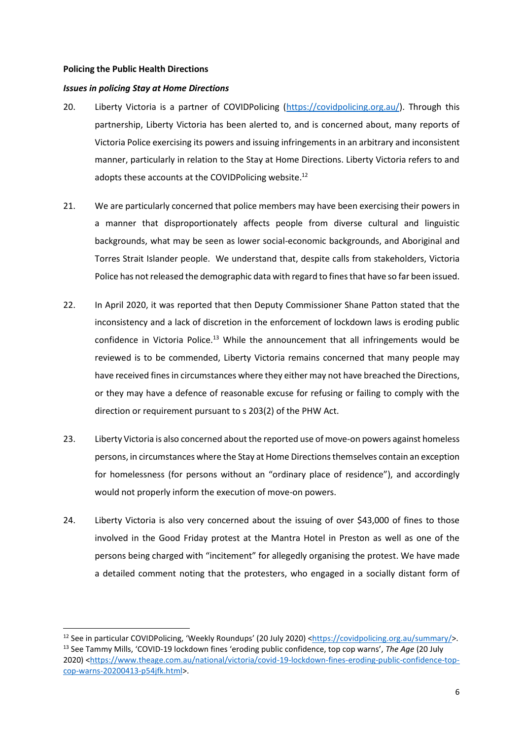#### **Policing the Public Health Directions**

#### *Issues in policing Stay at Home Directions*

- 20. Liberty Victoria is a partner of COVIDPolicing [\(https://covidpolicing.org.au/\)](https://covidpolicing.org.au/). Through this partnership, Liberty Victoria has been alerted to, and is concerned about, many reports of Victoria Police exercising its powers and issuing infringements in an arbitrary and inconsistent manner, particularly in relation to the Stay at Home Directions. Liberty Victoria refers to and adopts these accounts at the COVIDPolicing website.<sup>12</sup>
- 21. We are particularly concerned that police members may have been exercising their powers in a manner that disproportionately affects people from diverse cultural and linguistic backgrounds, what may be seen as lower social-economic backgrounds, and Aboriginal and Torres Strait Islander people. We understand that, despite calls from stakeholders, Victoria Police has not released the demographic data with regard to fines that have so far been issued.
- 22. In April 2020, it was reported that then Deputy Commissioner Shane Patton stated that the inconsistency and a lack of discretion in the enforcement of lockdown laws is eroding public confidence in Victoria Police.<sup>13</sup> While the announcement that all infringements would be reviewed is to be commended, Liberty Victoria remains concerned that many people may have received fines in circumstances where they either may not have breached the Directions, or they may have a defence of reasonable excuse for refusing or failing to comply with the direction or requirement pursuant to s 203(2) of the PHW Act.
- 23. Liberty Victoria is also concerned about the reported use of move-on powers against homeless persons, in circumstances where the Stay at Home Directions themselves contain an exception for homelessness (for persons without an "ordinary place of residence"), and accordingly would not properly inform the execution of move-on powers.
- 24. Liberty Victoria is also very concerned about the issuing of over \$43,000 of fines to those involved in the Good Friday protest at the Mantra Hotel in Preston as well as one of the persons being charged with "incitement" for allegedly organising the protest. We have made a detailed comment noting that the protesters, who engaged in a socially distant form of

<sup>&</sup>lt;sup>12</sup> See in particular COVIDPolicing, 'Weekly Roundups' (20 July 2020) [<https://covidpolicing.org.au/summary/>](https://covidpolicing.org.au/summary/). <sup>13</sup> See Tammy Mills, 'COVID-19 lockdown fines 'eroding public confidence, top cop warns', *The Age* (20 July 2020) [<https://www.theage.com.au/national/victoria/covid-19-lockdown-fines-eroding-public-confidence-top](https://www.theage.com.au/national/victoria/covid-19-lockdown-fines-eroding-public-confidence-top-cop-warns-20200413-p54jfk.html)[cop-warns-20200413-p54jfk.html>](https://www.theage.com.au/national/victoria/covid-19-lockdown-fines-eroding-public-confidence-top-cop-warns-20200413-p54jfk.html).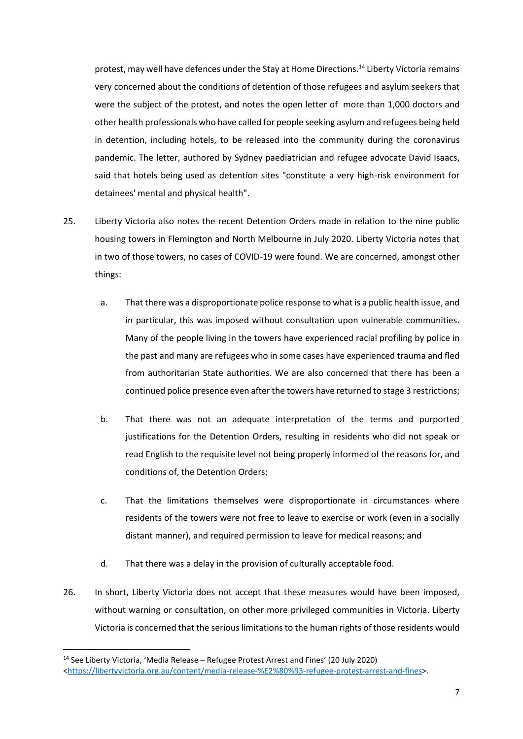protest, may well have defences under the Stay at Home Directions.<sup>14</sup> Liberty Victoria remains very concerned about the conditions of detention of those refugees and asylum seekers that were the subject of the protest, and notes the open letter of more than 1,000 doctors and other health professionals who have called for people seeking asylum and refugees being held in detention, including hotels, to be released into the community during the coronavirus pandemic. The letter, authored by Sydney paediatrician and refugee advocate David Isaacs, said that hotels being used as detention sites "constitute a very high-risk environment for detainees' mental and physical health".

- 25. Liberty Victoria also notes the recent Detention Orders made in relation to the nine public housing towers in Flemington and North Melbourne in July 2020. Liberty Victoria notes that in two of those towers, no cases of COVID-19 were found. We are concerned, amongst other things:
	- a. That there was a disproportionate police response to what is a public health issue, and in particular, this was imposed without consultation upon vulnerable communities. Many of the people living in the towers have experienced racial profiling by police in the past and many are refugees who in some cases have experienced trauma and fled from authoritarian State authorities. We are also concerned that there has been a continued police presence even after the towers have returned to stage 3 restrictions;
	- b. That there was not an adequate interpretation of the terms and purported justifications for the Detention Orders, resulting in residents who did not speak or read English to the requisite level not being properly informed of the reasons for, and conditions of, the Detention Orders;
	- c. That the limitations themselves were disproportionate in circumstances where residents of the towers were not free to leave to exercise or work (even in a socially distant manner), and required permission to leave for medical reasons; and
	- d. That there was a delay in the provision of culturally acceptable food.
- 26. In short, Liberty Victoria does not accept that these measures would have been imposed, without warning or consultation, on other more privileged communities in Victoria. Liberty Victoria is concerned that the serious limitations to the human rights of those residents would

<sup>14</sup> See Liberty Victoria, 'Media Release – Refugee Protest Arrest and Fines' (20 July 2020) [<https://libertyvictoria.org.au/content/media-release-%E2%80%93-refugee-protest-arrest-and-fines>](https://libertyvictoria.org.au/content/media-release-%E2%80%93-refugee-protest-arrest-and-fines).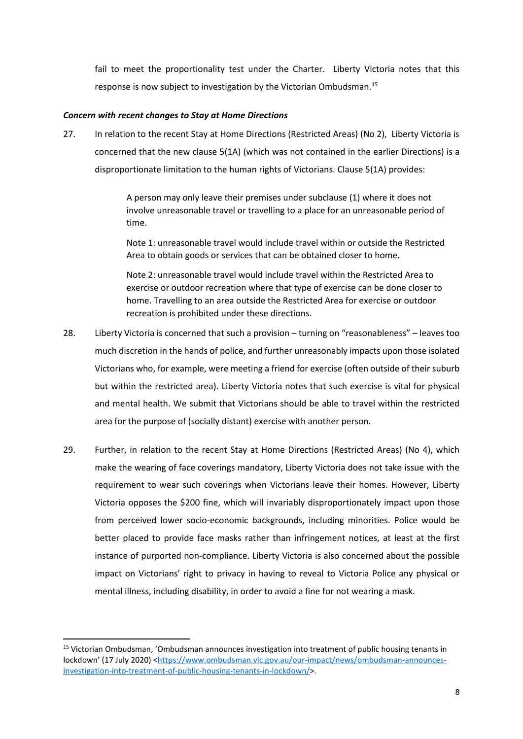fail to meet the proportionality test under the Charter. Liberty Victoria notes that this response is now subject to investigation by the Victorian Ombudsman.<sup>15</sup>

## *Concern with recent changes to Stay at Home Directions*

27. In relation to the recent Stay at Home Directions (Restricted Areas) (No 2), Liberty Victoria is concerned that the new clause 5(1A) (which was not contained in the earlier Directions) is a disproportionate limitation to the human rights of Victorians. Clause 5(1A) provides:

> A person may only leave their premises under subclause (1) where it does not involve unreasonable travel or travelling to a place for an unreasonable period of time.

> Note 1: unreasonable travel would include travel within or outside the Restricted Area to obtain goods or services that can be obtained closer to home.

> Note 2: unreasonable travel would include travel within the Restricted Area to exercise or outdoor recreation where that type of exercise can be done closer to home. Travelling to an area outside the Restricted Area for exercise or outdoor recreation is prohibited under these directions.

- 28. Liberty Victoria is concerned that such a provision turning on "reasonableness" leaves too much discretion in the hands of police, and further unreasonably impacts upon those isolated Victorians who, for example, were meeting a friend for exercise (often outside of their suburb but within the restricted area). Liberty Victoria notes that such exercise is vital for physical and mental health. We submit that Victorians should be able to travel within the restricted area for the purpose of (socially distant) exercise with another person.
- 29. Further, in relation to the recent Stay at Home Directions (Restricted Areas) (No 4), which make the wearing of face coverings mandatory, Liberty Victoria does not take issue with the requirement to wear such coverings when Victorians leave their homes. However, Liberty Victoria opposes the \$200 fine, which will invariably disproportionately impact upon those from perceived lower socio-economic backgrounds, including minorities. Police would be better placed to provide face masks rather than infringement notices, at least at the first instance of purported non-compliance. Liberty Victoria is also concerned about the possible impact on Victorians' right to privacy in having to reveal to Victoria Police any physical or mental illness, including disability, in order to avoid a fine for not wearing a mask.

<sup>15</sup> Victorian Ombudsman, 'Ombudsman announces investigation into treatment of public housing tenants in lockdown' (17 July 2020) [<https://www.ombudsman.vic.gov.au/our-impact/news/ombudsman-announces](https://www.ombudsman.vic.gov.au/our-impact/news/ombudsman-announces-investigation-into-treatment-of-public-housing-tenants-in-lockdown/)[investigation-into-treatment-of-public-housing-tenants-in-lockdown/>](https://www.ombudsman.vic.gov.au/our-impact/news/ombudsman-announces-investigation-into-treatment-of-public-housing-tenants-in-lockdown/).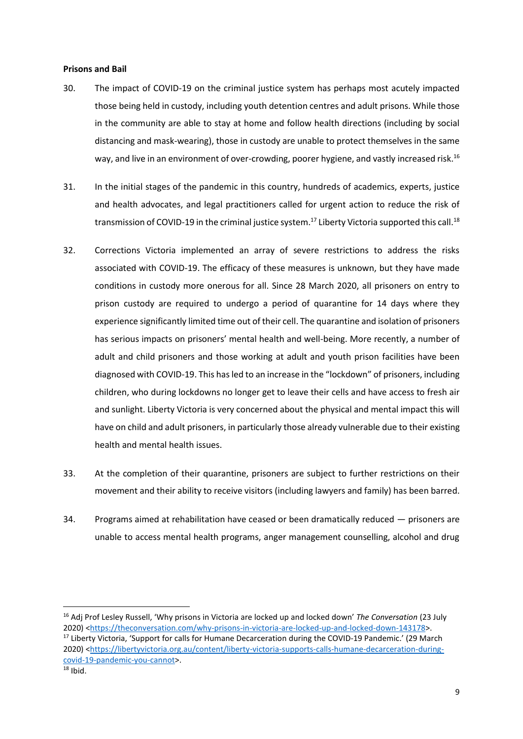#### **Prisons and Bail**

- 30. The impact of COVID-19 on the criminal justice system has perhaps most acutely impacted those being held in custody, including youth detention centres and adult prisons. While those in the community are able to stay at home and follow health directions (including by social distancing and mask-wearing), those in custody are unable to protect themselves in the same way, and live in an environment of over-crowding, poorer hygiene, and vastly increased risk.<sup>16</sup>
- 31. In the initial stages of the pandemic in this country, hundreds of academics, experts, justice and health advocates, and legal practitioners called for urgent action to reduce the risk of transmission of COVID-19 in the criminal justice system.<sup>17</sup> Liberty Victoria supported this call.<sup>18</sup>
- 32. Corrections Victoria implemented an array of severe restrictions to address the risks associated with COVID-19. The efficacy of these measures is unknown, but they have made conditions in custody more onerous for all. Since 28 March 2020, all prisoners on entry to prison custody are required to undergo a period of quarantine for 14 days where they experience significantly limited time out of their cell. The quarantine and isolation of prisoners has serious impacts on prisoners' mental health and well-being. More recently, a number of adult and child prisoners and those working at adult and youth prison facilities have been diagnosed with COVID-19. This has led to an increase in the "lockdown" of prisoners, including children, who during lockdowns no longer get to leave their cells and have access to fresh air and sunlight. Liberty Victoria is very concerned about the physical and mental impact this will have on child and adult prisoners, in particularly those already vulnerable due to their existing health and mental health issues.
- 33. At the completion of their quarantine, prisoners are subject to further restrictions on their movement and their ability to receive visitors (including lawyers and family) has been barred.
- 34. Programs aimed at rehabilitation have ceased or been dramatically reduced prisoners are unable to access mental health programs, anger management counselling, alcohol and drug

<sup>16</sup> Adj Prof Lesley Russell, 'Why prisons in Victoria are locked up and locked down' *The Conversation* (23 July 2020) [<https://theconversation.com/why-prisons-in-victoria-are-locked-up-and-locked-down-143178>](https://theconversation.com/why-prisons-in-victoria-are-locked-up-and-locked-down-143178). <sup>17</sup> Liberty Victoria, 'Support for calls for Humane Decarceration during the COVID-19 Pandemic.' (29 March 2020) [<https://libertyvictoria.org.au/content/liberty-victoria-supports-calls-humane-decarceration-during](https://libertyvictoria.org.au/content/liberty-victoria-supports-calls-humane-decarceration-during-covid-19-pandemic-you-cannot)[covid-19-pandemic-you-cannot>](https://libertyvictoria.org.au/content/liberty-victoria-supports-calls-humane-decarceration-during-covid-19-pandemic-you-cannot).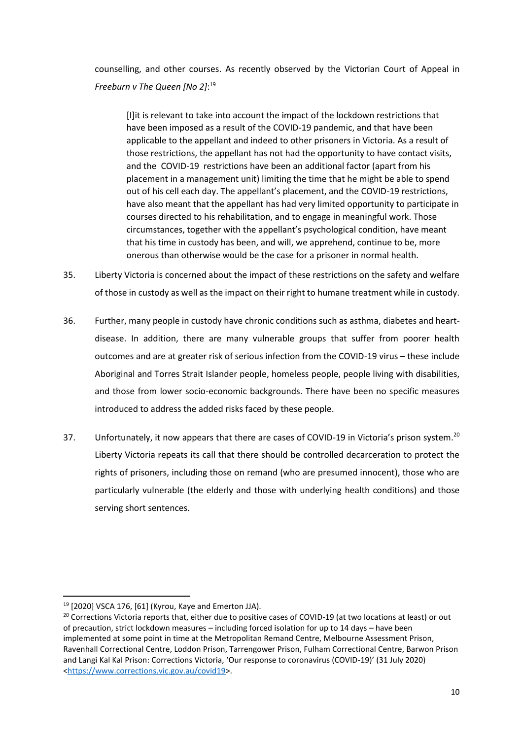counselling, and other courses. As recently observed by the Victorian Court of Appeal in *Freeburn v The Queen [No 2]*: 19

[I]it is relevant to take into account the impact of the lockdown restrictions that have been imposed as a result of the COVID-19 pandemic, and that have been applicable to the appellant and indeed to other prisoners in Victoria. As a result of those restrictions, the appellant has not had the opportunity to have contact visits, and the COVID-19 restrictions have been an additional factor (apart from his placement in a management unit) limiting the time that he might be able to spend out of his cell each day. The appellant's placement, and the COVID-19 restrictions, have also meant that the appellant has had very limited opportunity to participate in courses directed to his rehabilitation, and to engage in meaningful work. Those circumstances, together with the appellant's psychological condition, have meant that his time in custody has been, and will, we apprehend, continue to be, more onerous than otherwise would be the case for a prisoner in normal health.

- 35. Liberty Victoria is concerned about the impact of these restrictions on the safety and welfare of those in custody as well as the impact on their right to humane treatment while in custody.
- 36. Further, many people in custody have chronic conditions such as asthma, diabetes and heartdisease. In addition, there are many vulnerable groups that suffer from poorer health outcomes and are at greater risk of serious infection from the COVID-19 virus – these include Aboriginal and Torres Strait Islander people, homeless people, people living with disabilities, and those from lower socio-economic backgrounds. There have been no specific measures introduced to address the added risks faced by these people.
- 37. Unfortunately, it now appears that there are cases of COVID-19 in Victoria's prison system.<sup>20</sup> Liberty Victoria repeats its call that there should be controlled decarceration to protect the rights of prisoners, including those on remand (who are presumed innocent), those who are particularly vulnerable (the elderly and those with underlying health conditions) and those serving short sentences.

 $19$  [2020] VSCA 176, [61] (Kyrou, Kaye and Emerton JJA).

<sup>&</sup>lt;sup>20</sup> Corrections Victoria reports that, either due to positive cases of COVID-19 (at two locations at least) or out of precaution, strict lockdown measures – including forced isolation for up to 14 days – have been implemented at some point in time at the Metropolitan Remand Centre, Melbourne Assessment Prison, Ravenhall Correctional Centre, Loddon Prison, Tarrengower Prison, Fulham Correctional Centre, Barwon Prison and Langi Kal Kal Prison: Corrections Victoria, 'Our response to coronavirus (COVID-19)' (31 July 2020) [<https://www.corrections.vic.gov.au/covid19>](https://www.corrections.vic.gov.au/covid19).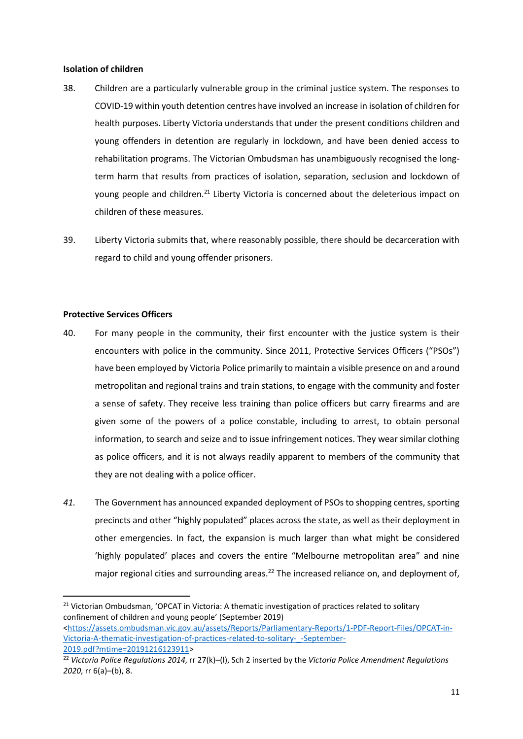#### **Isolation of children**

- 38. Children are a particularly vulnerable group in the criminal justice system. The responses to COVID-19 within youth detention centres have involved an increase in isolation of children for health purposes. Liberty Victoria understands that under the present conditions children and young offenders in detention are regularly in lockdown, and have been denied access to rehabilitation programs. The Victorian Ombudsman has unambiguously recognised the longterm harm that results from practices of isolation, separation, seclusion and lockdown of young people and children.<sup>21</sup> Liberty Victoria is concerned about the deleterious impact on children of these measures.
- 39. Liberty Victoria submits that, where reasonably possible, there should be decarceration with regard to child and young offender prisoners.

## **Protective Services Officers**

- 40. For many people in the community, their first encounter with the justice system is their encounters with police in the community. Since 2011, Protective Services Officers ("PSOs") have been employed by Victoria Police primarily to maintain a visible presence on and around metropolitan and regional trains and train stations, to engage with the community and foster a sense of safety. They receive less training than police officers but carry firearms and are given some of the powers of a police constable, including to arrest, to obtain personal information, to search and seize and to issue infringement notices. They wear similar clothing as police officers, and it is not always readily apparent to members of the community that they are not dealing with a police officer.
- *41.* The Government has announced expanded deployment of PSOs to shopping centres, sporting precincts and other "highly populated" places across the state, as well as their deployment in other emergencies. In fact, the expansion is much larger than what might be considered 'highly populated' places and covers the entire "Melbourne metropolitan area" and nine major regional cities and surrounding areas.<sup>22</sup> The increased reliance on, and deployment of,

[2019.pdf?mtime=20191216123911>](https://assets.ombudsman.vic.gov.au/assets/Reports/Parliamentary-Reports/1-PDF-Report-Files/OPCAT-in-Victoria-A-thematic-investigation-of-practices-related-to-solitary-_-September-2019.pdf?mtime=20191216123911)

<sup>&</sup>lt;sup>21</sup> Victorian Ombudsman, 'OPCAT in Victoria: A thematic investigation of practices related to solitary confinement of children and young people' (September 2019) [<https://assets.ombudsman.vic.gov.au/assets/Reports/Parliamentary-Reports/1-PDF-Report-Files/OPCAT-in-](https://assets.ombudsman.vic.gov.au/assets/Reports/Parliamentary-Reports/1-PDF-Report-Files/OPCAT-in-Victoria-A-thematic-investigation-of-practices-related-to-solitary-_-September-2019.pdf?mtime=20191216123911)[Victoria-A-thematic-investigation-of-practices-related-to-solitary-\\_-September-](https://assets.ombudsman.vic.gov.au/assets/Reports/Parliamentary-Reports/1-PDF-Report-Files/OPCAT-in-Victoria-A-thematic-investigation-of-practices-related-to-solitary-_-September-2019.pdf?mtime=20191216123911)

<sup>22</sup> *Victoria Police Regulations 2014*, rr 27(k)–(l), Sch 2 inserted by the *Victoria Police Amendment Regulations 2020*, rr 6(a)–(b), 8.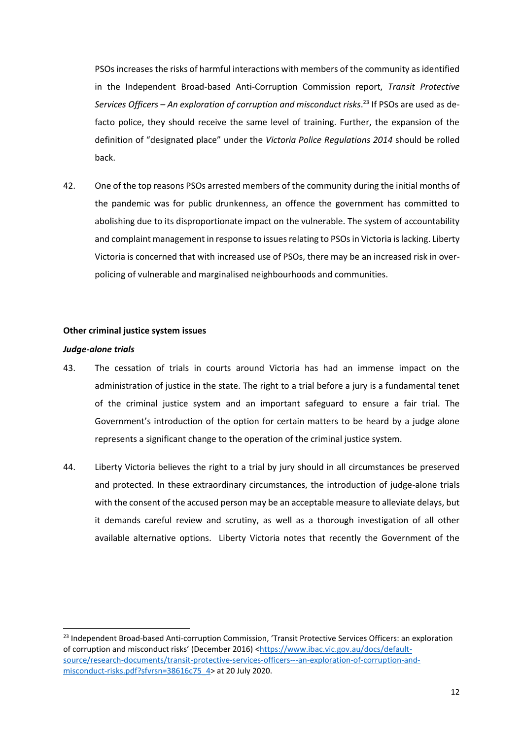PSOs increases the risks of harmful interactions with members of the community as identified in the Independent Broad-based Anti-Corruption Commission report, *Transit Protective Services Officers – An exploration of corruption and misconduct risks*. <sup>23</sup> If PSOs are used as defacto police, they should receive the same level of training. Further, the expansion of the definition of "designated place" under the *Victoria Police Regulations 2014* should be rolled back.

42. One of the top reasons PSOs arrested members of the community during the initial months of the pandemic was for public drunkenness, an offence the government has committed to abolishing due to its disproportionate impact on the vulnerable. The system of accountability and complaint management in response to issues relating to PSOs in Victoria is lacking. Liberty Victoria is concerned that with increased use of PSOs, there may be an increased risk in overpolicing of vulnerable and marginalised neighbourhoods and communities.

## **Other criminal justice system issues**

#### *Judge-alone trials*

- 43. The cessation of trials in courts around Victoria has had an immense impact on the administration of justice in the state. The right to a trial before a jury is a fundamental tenet of the criminal justice system and an important safeguard to ensure a fair trial. The Government's introduction of the option for certain matters to be heard by a judge alone represents a significant change to the operation of the criminal justice system.
- 44. Liberty Victoria believes the right to a trial by jury should in all circumstances be preserved and protected. In these extraordinary circumstances, the introduction of judge-alone trials with the consent of the accused person may be an acceptable measure to alleviate delays, but it demands careful review and scrutiny, as well as a thorough investigation of all other available alternative options. Liberty Victoria notes that recently the Government of the

<sup>&</sup>lt;sup>23</sup> Independent Broad-based Anti-corruption Commission, 'Transit Protective Services Officers: an exploration of corruption and misconduct risks' (December 2016) [<https://www.ibac.vic.gov.au/docs/default](https://www.ibac.vic.gov.au/docs/default-source/research-documents/transit-protective-services-officers---an-exploration-of-corruption-and-misconduct-risks.pdf?sfvrsn=38616c75_4)[source/research-documents/transit-protective-services-officers---an-exploration-of-corruption-and](https://www.ibac.vic.gov.au/docs/default-source/research-documents/transit-protective-services-officers---an-exploration-of-corruption-and-misconduct-risks.pdf?sfvrsn=38616c75_4)[misconduct-risks.pdf?sfvrsn=38616c75\\_4>](https://www.ibac.vic.gov.au/docs/default-source/research-documents/transit-protective-services-officers---an-exploration-of-corruption-and-misconduct-risks.pdf?sfvrsn=38616c75_4) at 20 July 2020.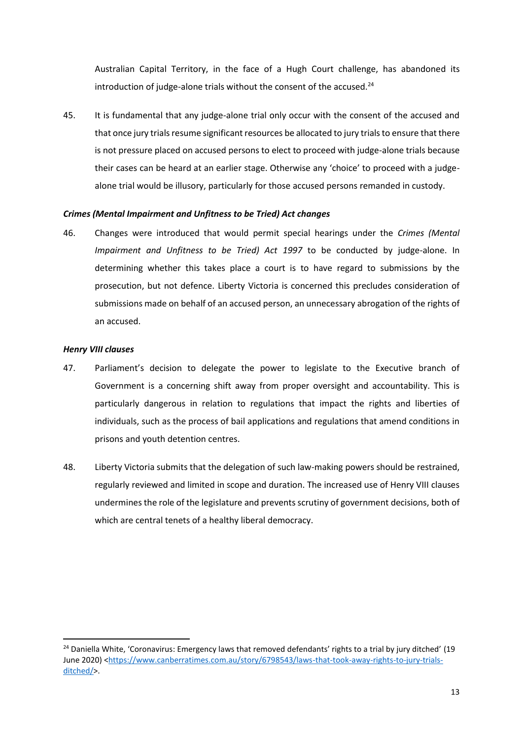Australian Capital Territory, in the face of a Hugh Court challenge, has abandoned its introduction of judge-alone trials without the consent of the accused. $^{24}$ 

45. It is fundamental that any judge-alone trial only occur with the consent of the accused and that once jury trials resume significant resources be allocated to jury trials to ensure that there is not pressure placed on accused persons to elect to proceed with judge-alone trials because their cases can be heard at an earlier stage. Otherwise any 'choice' to proceed with a judgealone trial would be illusory, particularly for those accused persons remanded in custody.

## *Crimes (Mental Impairment and Unfitness to be Tried) Act changes*

46. Changes were introduced that would permit special hearings under the *Crimes (Mental Impairment and Unfitness to be Tried) Act 1997* to be conducted by judge-alone. In determining whether this takes place a court is to have regard to submissions by the prosecution, but not defence. Liberty Victoria is concerned this precludes consideration of submissions made on behalf of an accused person, an unnecessary abrogation of the rights of an accused.

## *Henry VIII clauses*

- 47. Parliament's decision to delegate the power to legislate to the Executive branch of Government is a concerning shift away from proper oversight and accountability. This is particularly dangerous in relation to regulations that impact the rights and liberties of individuals, such as the process of bail applications and regulations that amend conditions in prisons and youth detention centres.
- 48. Liberty Victoria submits that the delegation of such law-making powers should be restrained, regularly reviewed and limited in scope and duration. The increased use of Henry VIII clauses undermines the role of the legislature and prevents scrutiny of government decisions, both of which are central tenets of a healthy liberal democracy.

<sup>&</sup>lt;sup>24</sup> Daniella White, 'Coronavirus: Emergency laws that removed defendants' rights to a trial by jury ditched' (19 June 2020) [<https://www.canberratimes.com.au/story/6798543/laws-that-took-away-rights-to-jury-trials](https://www.canberratimes.com.au/story/6798543/laws-that-took-away-rights-to-jury-trials-ditched/)[ditched/>](https://www.canberratimes.com.au/story/6798543/laws-that-took-away-rights-to-jury-trials-ditched/).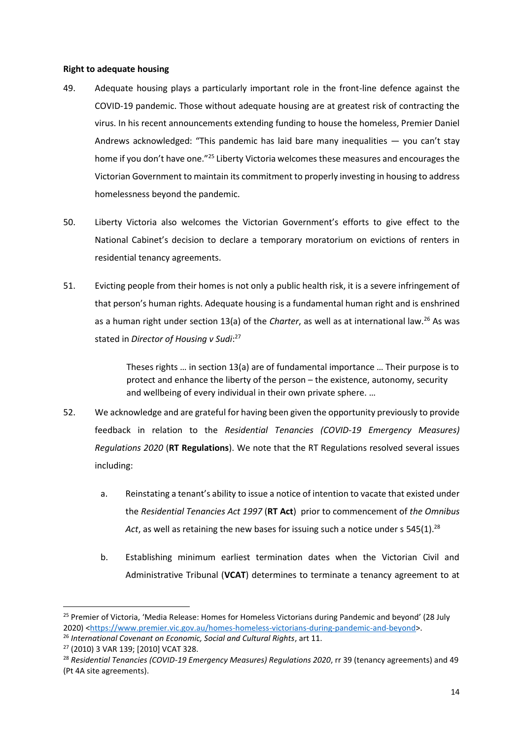### **Right to adequate housing**

- 49. Adequate housing plays a particularly important role in the front-line defence against the COVID-19 pandemic. Those without adequate housing are at greatest risk of contracting the virus. In his recent announcements extending funding to house the homeless, Premier Daniel Andrews acknowledged: "This pandemic has laid bare many inequalities  $-$  you can't stay home if you don't have one."<sup>25</sup> Liberty Victoria welcomes these measures and encourages the Victorian Government to maintain its commitment to properly investing in housing to address homelessness beyond the pandemic.
- 50. Liberty Victoria also welcomes the Victorian Government's efforts to give effect to the National Cabinet's decision to declare a temporary moratorium on evictions of renters in residential tenancy agreements.
- 51. Evicting people from their homes is not only a public health risk, it is a severe infringement of that person's human rights. Adequate housing is a fundamental human right and is enshrined as a human right under section 13(a) of the *Charter*, as well as at international law.<sup>26</sup> As was stated in *Director of Housing v Sudi*: 27

Theses rights … in section 13(a) are of fundamental importance … Their purpose is to protect and enhance the liberty of the person – the existence, autonomy, security and wellbeing of every individual in their own private sphere. …

- 52. We acknowledge and are grateful for having been given the opportunity previously to provide feedback in relation to the *Residential Tenancies (COVID-19 Emergency Measures) Regulations 2020* (**RT Regulations**). We note that the RT Regulations resolved several issues including:
	- a. Reinstating a tenant's ability to issue a notice of intention to vacate that existed under the *Residential Tenancies Act 1997* (**RT Act**) prior to commencement of *the Omnibus*  Act, as well as retaining the new bases for issuing such a notice under s 545(1).<sup>28</sup>
	- b. Establishing minimum earliest termination dates when the Victorian Civil and Administrative Tribunal (**VCAT**) determines to terminate a tenancy agreement to at

<sup>&</sup>lt;sup>25</sup> Premier of Victoria, 'Media Release: Homes for Homeless Victorians during Pandemic and beyond' (28 July 2020) [<https://www.premier.vic.gov.au/homes-homeless-victorians-during-pandemic-and-beyond>](https://www.premier.vic.gov.au/homes-homeless-victorians-during-pandemic-and-beyond).

<sup>&</sup>lt;sup>26</sup> International Covenant on Economic, Social and Cultural Rights, art 11.

<sup>27</sup> (2010) 3 VAR 139; [2010] VCAT 328.

<sup>28</sup> *Residential Tenancies (COVID-19 Emergency Measures) Regulations 2020*, rr 39 (tenancy agreements) and 49 (Pt 4A site agreements).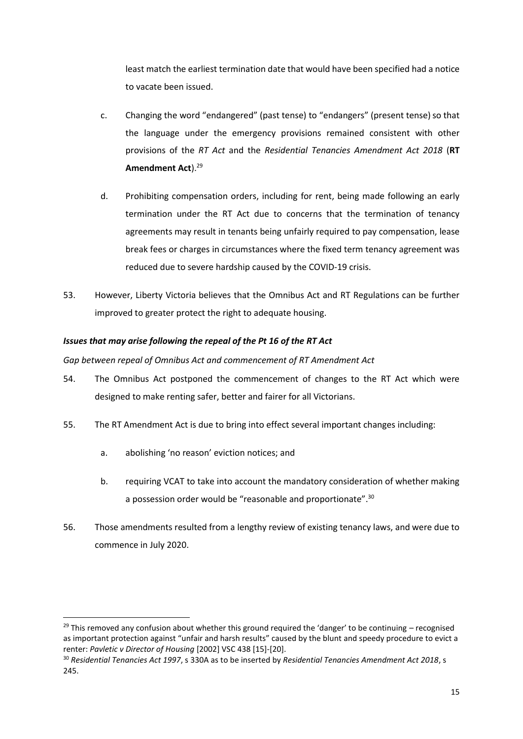least match the earliest termination date that would have been specified had a notice to vacate been issued.

- c. Changing the word "endangered" (past tense) to "endangers" (present tense) so that the language under the emergency provisions remained consistent with other provisions of the *RT Act* and the *Residential Tenancies Amendment Act 2018* (**RT**  Amendment Act).<sup>29</sup>
- d. Prohibiting compensation orders, including for rent, being made following an early termination under the RT Act due to concerns that the termination of tenancy agreements may result in tenants being unfairly required to pay compensation, lease break fees or charges in circumstances where the fixed term tenancy agreement was reduced due to severe hardship caused by the COVID-19 crisis.
- 53. However, Liberty Victoria believes that the Omnibus Act and RT Regulations can be further improved to greater protect the right to adequate housing.

## *Issues that may arise following the repeal of the Pt 16 of the RT Act*

*Gap between repeal of Omnibus Act and commencement of RT Amendment Act*

- 54. The Omnibus Act postponed the commencement of changes to the RT Act which were designed to make renting safer, better and fairer for all Victorians.
- 55. The RT Amendment Act is due to bring into effect several important changes including:
	- a. abolishing 'no reason' eviction notices; and
	- b. requiring VCAT to take into account the mandatory consideration of whether making a possession order would be "reasonable and proportionate".<sup>30</sup>
- 56. Those amendments resulted from a lengthy review of existing tenancy laws, and were due to commence in July 2020.

 $^{29}$  This removed any confusion about whether this ground required the 'danger' to be continuing – recognised as important protection against "unfair and harsh results" caused by the blunt and speedy procedure to evict a renter: *Pavletic v Director of Housing* [2002] VSC 438 [15]-[20].

<sup>30</sup> *Residential Tenancies Act 1997*, s 330A as to be inserted by *Residential Tenancies Amendment Act 2018*, s 245.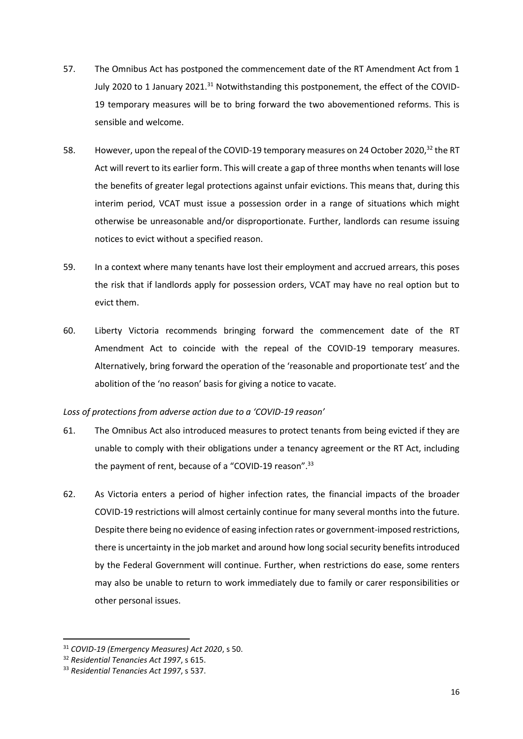- 57. The Omnibus Act has postponed the commencement date of the RT Amendment Act from 1 July 2020 to 1 January 2021.<sup>31</sup> Notwithstanding this postponement, the effect of the COVID-19 temporary measures will be to bring forward the two abovementioned reforms. This is sensible and welcome.
- 58. However, upon the repeal of the COVID-19 temporary measures on 24 October 2020,<sup>32</sup> the RT Act will revert to its earlier form. This will create a gap of three months when tenants will lose the benefits of greater legal protections against unfair evictions. This means that, during this interim period, VCAT must issue a possession order in a range of situations which might otherwise be unreasonable and/or disproportionate. Further, landlords can resume issuing notices to evict without a specified reason.
- 59. In a context where many tenants have lost their employment and accrued arrears, this poses the risk that if landlords apply for possession orders, VCAT may have no real option but to evict them.
- 60. Liberty Victoria recommends bringing forward the commencement date of the RT Amendment Act to coincide with the repeal of the COVID-19 temporary measures. Alternatively, bring forward the operation of the 'reasonable and proportionate test' and the abolition of the 'no reason' basis for giving a notice to vacate.

## *Loss of protections from adverse action due to a 'COVID-19 reason'*

- 61. The Omnibus Act also introduced measures to protect tenants from being evicted if they are unable to comply with their obligations under a tenancy agreement or the RT Act, including the payment of rent, because of a "COVID-19 reason".<sup>33</sup>
- 62. As Victoria enters a period of higher infection rates, the financial impacts of the broader COVID-19 restrictions will almost certainly continue for many several months into the future. Despite there being no evidence of easing infection rates or government-imposed restrictions, there is uncertainty in the job market and around how long social security benefits introduced by the Federal Government will continue. Further, when restrictions do ease, some renters may also be unable to return to work immediately due to family or carer responsibilities or other personal issues.

<sup>31</sup> *COVID-19 (Emergency Measures) Act 2020*, s 50.

<sup>32</sup> *Residential Tenancies Act 1997*, s 615.

<sup>33</sup> *Residential Tenancies Act 1997*, s 537.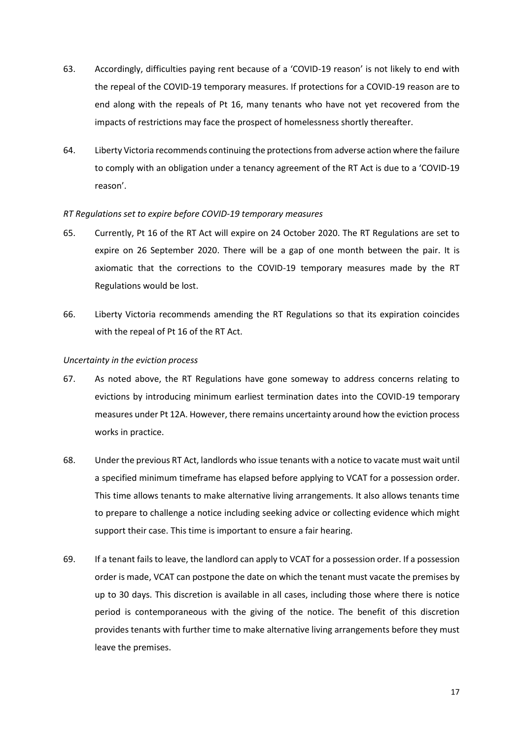- 63. Accordingly, difficulties paying rent because of a 'COVID-19 reason' is not likely to end with the repeal of the COVID-19 temporary measures. If protections for a COVID-19 reason are to end along with the repeals of Pt 16, many tenants who have not yet recovered from the impacts of restrictions may face the prospect of homelessness shortly thereafter.
- 64. Liberty Victoria recommends continuing the protections from adverse action where the failure to comply with an obligation under a tenancy agreement of the RT Act is due to a 'COVID-19 reason'.

## *RT Regulations set to expire before COVID-19 temporary measures*

- 65. Currently, Pt 16 of the RT Act will expire on 24 October 2020. The RT Regulations are set to expire on 26 September 2020. There will be a gap of one month between the pair. It is axiomatic that the corrections to the COVID-19 temporary measures made by the RT Regulations would be lost.
- 66. Liberty Victoria recommends amending the RT Regulations so that its expiration coincides with the repeal of Pt 16 of the RT Act.

## *Uncertainty in the eviction process*

- 67. As noted above, the RT Regulations have gone someway to address concerns relating to evictions by introducing minimum earliest termination dates into the COVID-19 temporary measures under Pt 12A. However, there remains uncertainty around how the eviction process works in practice.
- 68. Under the previous RT Act, landlords who issue tenants with a notice to vacate must wait until a specified minimum timeframe has elapsed before applying to VCAT for a possession order. This time allows tenants to make alternative living arrangements. It also allows tenants time to prepare to challenge a notice including seeking advice or collecting evidence which might support their case. This time is important to ensure a fair hearing.
- 69. If a tenant fails to leave, the landlord can apply to VCAT for a possession order. If a possession order is made, VCAT can postpone the date on which the tenant must vacate the premises by up to 30 days. This discretion is available in all cases, including those where there is notice period is contemporaneous with the giving of the notice. The benefit of this discretion provides tenants with further time to make alternative living arrangements before they must leave the premises.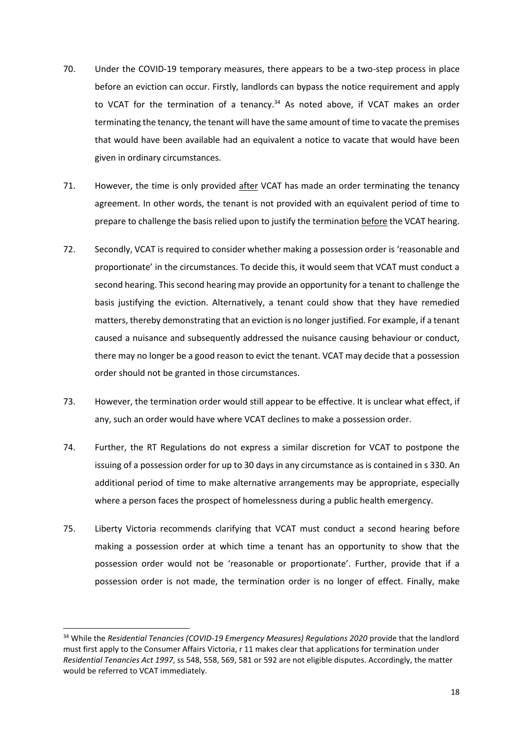- 70. Under the COVID-19 temporary measures, there appears to be a two-step process in place before an eviction can occur. Firstly, landlords can bypass the notice requirement and apply to VCAT for the termination of a tenancy. $34$  As noted above, if VCAT makes an order terminating the tenancy, the tenant will have the same amount of time to vacate the premises that would have been available had an equivalent a notice to vacate that would have been given in ordinary circumstances.
- 71. However, the time is only provided after VCAT has made an order terminating the tenancy agreement. In other words, the tenant is not provided with an equivalent period of time to prepare to challenge the basis relied upon to justify the termination before the VCAT hearing.
- 72. Secondly, VCAT is required to consider whether making a possession order is 'reasonable and proportionate' in the circumstances. To decide this, it would seem that VCAT must conduct a second hearing. This second hearing may provide an opportunity for a tenant to challenge the basis justifying the eviction. Alternatively, a tenant could show that they have remedied matters, thereby demonstrating that an eviction is no longer justified. For example, if a tenant caused a nuisance and subsequently addressed the nuisance causing behaviour or conduct, there may no longer be a good reason to evict the tenant. VCAT may decide that a possession order should not be granted in those circumstances.
- 73. However, the termination order would still appear to be effective. It is unclear what effect, if any, such an order would have where VCAT declines to make a possession order.
- 74. Further, the RT Regulations do not express a similar discretion for VCAT to postpone the issuing of a possession order for up to 30 days in any circumstance as is contained in s 330. An additional period of time to make alternative arrangements may be appropriate, especially where a person faces the prospect of homelessness during a public health emergency.
- 75. Liberty Victoria recommends clarifying that VCAT must conduct a second hearing before making a possession order at which time a tenant has an opportunity to show that the possession order would not be 'reasonable or proportionate'. Further, provide that if a possession order is not made, the termination order is no longer of effect. Finally, make

<sup>34</sup> While the *Residential Tenancies (COVID-19 Emergency Measures) Regulations 2020* provide that the landlord must first apply to the Consumer Affairs Victoria, r 11 makes clear that applications for termination under *Residential Tenancies Act 1997*, ss 548, 558, 569, 581 or 592 are not eligible disputes. Accordingly, the matter would be referred to VCAT immediately.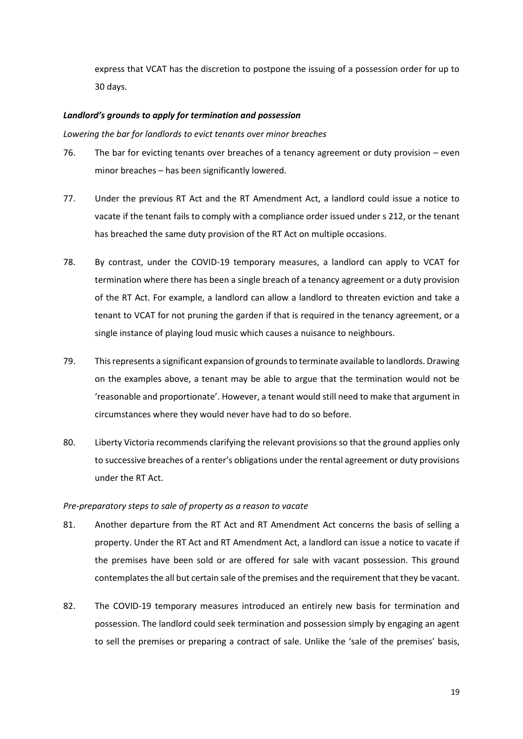express that VCAT has the discretion to postpone the issuing of a possession order for up to 30 days.

### *Landlord's grounds to apply for termination and possession*

*Lowering the bar for landlords to evict tenants over minor breaches*

- 76. The bar for evicting tenants over breaches of a tenancy agreement or duty provision even minor breaches – has been significantly lowered.
- 77. Under the previous RT Act and the RT Amendment Act, a landlord could issue a notice to vacate if the tenant fails to comply with a compliance order issued under s 212, or the tenant has breached the same duty provision of the RT Act on multiple occasions.
- 78. By contrast, under the COVID-19 temporary measures, a landlord can apply to VCAT for termination where there has been a single breach of a tenancy agreement or a duty provision of the RT Act. For example, a landlord can allow a landlord to threaten eviction and take a tenant to VCAT for not pruning the garden if that is required in the tenancy agreement, or a single instance of playing loud music which causes a nuisance to neighbours.
- 79. This represents a significant expansion of grounds to terminate available to landlords. Drawing on the examples above, a tenant may be able to argue that the termination would not be 'reasonable and proportionate'. However, a tenant would still need to make that argument in circumstances where they would never have had to do so before.
- 80. Liberty Victoria recommends clarifying the relevant provisions so that the ground applies only to successive breaches of a renter's obligations under the rental agreement or duty provisions under the RT Act.

#### *Pre-preparatory steps to sale of property as a reason to vacate*

- 81. Another departure from the RT Act and RT Amendment Act concerns the basis of selling a property. Under the RT Act and RT Amendment Act, a landlord can issue a notice to vacate if the premises have been sold or are offered for sale with vacant possession. This ground contemplates the all but certain sale of the premises and the requirement that they be vacant.
- 82. The COVID-19 temporary measures introduced an entirely new basis for termination and possession. The landlord could seek termination and possession simply by engaging an agent to sell the premises or preparing a contract of sale. Unlike the 'sale of the premises' basis,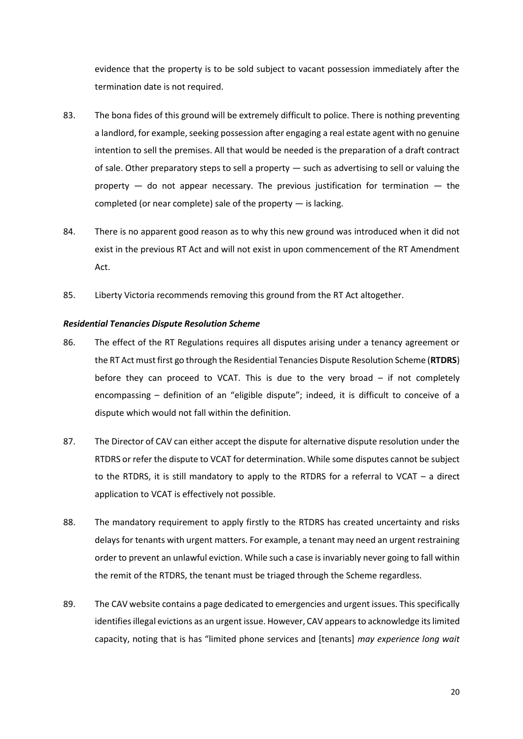evidence that the property is to be sold subject to vacant possession immediately after the termination date is not required.

- 83. The bona fides of this ground will be extremely difficult to police. There is nothing preventing a landlord, for example, seeking possession after engaging a real estate agent with no genuine intention to sell the premises. All that would be needed is the preparation of a draft contract of sale. Other preparatory steps to sell a property — such as advertising to sell or valuing the property  $-$  do not appear necessary. The previous justification for termination  $-$  the completed (or near complete) sale of the property — is lacking.
- 84. There is no apparent good reason as to why this new ground was introduced when it did not exist in the previous RT Act and will not exist in upon commencement of the RT Amendment Act.
- 85. Liberty Victoria recommends removing this ground from the RT Act altogether.

#### *Residential Tenancies Dispute Resolution Scheme*

- 86. The effect of the RT Regulations requires all disputes arising under a tenancy agreement or the RT Act must first go through the Residential Tenancies Dispute Resolution Scheme (**RTDRS**) before they can proceed to VCAT. This is due to the very broad – if not completely encompassing – definition of an "eligible dispute"; indeed, it is difficult to conceive of a dispute which would not fall within the definition.
- 87. The Director of CAV can either accept the dispute for alternative dispute resolution under the RTDRS or refer the dispute to VCAT for determination. While some disputes cannot be subject to the RTDRS, it is still mandatory to apply to the RTDRS for a referral to VCAT – a direct application to VCAT is effectively not possible.
- 88. The mandatory requirement to apply firstly to the RTDRS has created uncertainty and risks delays for tenants with urgent matters. For example, a tenant may need an urgent restraining order to prevent an unlawful eviction. While such a case is invariably never going to fall within the remit of the RTDRS, the tenant must be triaged through the Scheme regardless.
- 89. The CAV website contains a page dedicated to emergencies and urgent issues. This specifically identifies illegal evictions as an urgent issue. However, CAV appears to acknowledge its limited capacity, noting that is has "limited phone services and [tenants] *may experience long wait*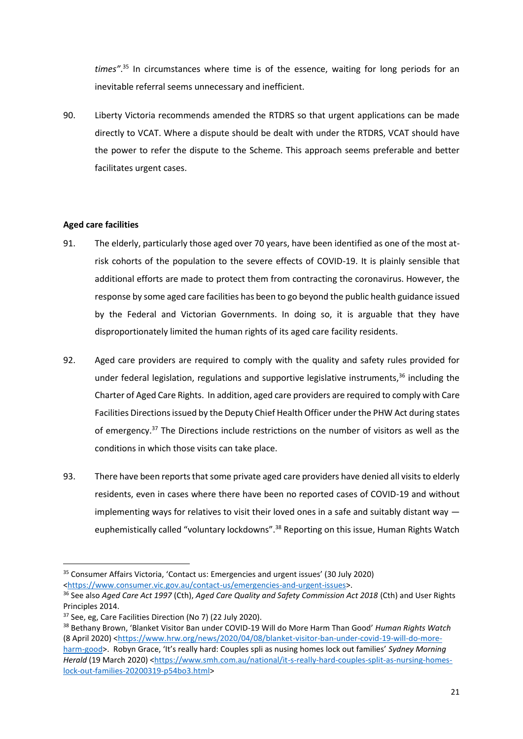*times"*. <sup>35</sup> In circumstances where time is of the essence, waiting for long periods for an inevitable referral seems unnecessary and inefficient.

90. Liberty Victoria recommends amended the RTDRS so that urgent applications can be made directly to VCAT. Where a dispute should be dealt with under the RTDRS, VCAT should have the power to refer the dispute to the Scheme. This approach seems preferable and better facilitates urgent cases.

## **Aged care facilities**

- 91. The elderly, particularly those aged over 70 years, have been identified as one of the most atrisk cohorts of the population to the severe effects of COVID-19. It is plainly sensible that additional efforts are made to protect them from contracting the coronavirus. However, the response by some aged care facilities has been to go beyond the public health guidance issued by the Federal and Victorian Governments. In doing so, it is arguable that they have disproportionately limited the human rights of its aged care facility residents.
- 92. Aged care providers are required to comply with the quality and safety rules provided for under federal legislation, regulations and supportive legislative instruments, $36$  including the Charter of Aged Care Rights. In addition, aged care providers are required to comply with Care Facilities Directions issued by the Deputy Chief Health Officer under the PHW Act during states of emergency.<sup>37</sup> The Directions include restrictions on the number of visitors as well as the conditions in which those visits can take place.
- 93. There have been reports that some private aged care providers have denied all visits to elderly residents, even in cases where there have been no reported cases of COVID-19 and without implementing ways for relatives to visit their loved ones in a safe and suitably distant way  $$ euphemistically called "voluntary lockdowns".<sup>38</sup> Reporting on this issue, Human Rights Watch

<sup>35</sup> Consumer Affairs Victoria, 'Contact us: Emergencies and urgent issues' (30 July 2020) [<https://www.consumer.vic.gov.au/contact-us/emergencies-and-urgent-issues>](https://www.consumer.vic.gov.au/contact-us/emergencies-and-urgent-issues).

<sup>36</sup> See also *Aged Care Act 1997* (Cth), *Aged Care Quality and Safety Commission Act 2018* (Cth) and User Rights Principles 2014.

<sup>37</sup> See, eg, Care Facilities Direction (No 7) (22 July 2020).

<sup>38</sup> Bethany Brown, 'Blanket Visitor Ban under COVID-19 Will do More Harm Than Good' *Human Rights Watch*  (8 April 2020) [<https://www.hrw.org/news/2020/04/08/blanket-visitor-ban-under-covid-19-will-do-more](https://www.hrw.org/news/2020/04/08/blanket-visitor-ban-under-covid-19-will-do-more-harm-good)[harm-good>](https://www.hrw.org/news/2020/04/08/blanket-visitor-ban-under-covid-19-will-do-more-harm-good). Robyn Grace, 'It's really hard: Couples spli as nusing homes lock out families' *Sydney Morning*  Herald (19 March 2020) [<https://www.smh.com.au/national/it-s-really-hard-couples-split-as-nursing-homes](https://www.smh.com.au/national/it-s-really-hard-couples-split-as-nursing-homes-lock-out-families-20200319-p54bo3.html)[lock-out-families-20200319-p54bo3.html>](https://www.smh.com.au/national/it-s-really-hard-couples-split-as-nursing-homes-lock-out-families-20200319-p54bo3.html)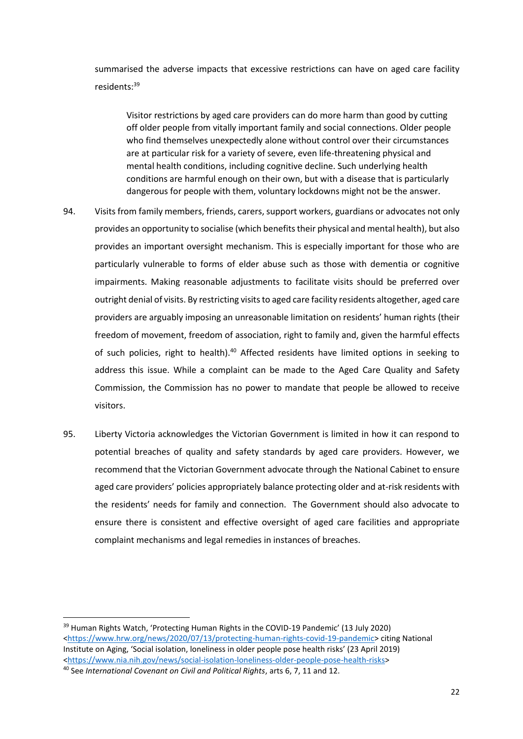summarised the adverse impacts that excessive restrictions can have on aged care facility residents:<sup>39</sup>

Visitor restrictions by aged care providers can do more harm than good by cutting off older people from vitally important family and social connections. Older people who find themselves unexpectedly alone without control over their circumstances are at particular risk for a variety of severe, even life-threatening physical and mental health conditions, including cognitive decline. Such underlying health conditions are harmful enough on their own, but with a disease that is particularly dangerous for people with them, voluntary lockdowns might not be the answer.

- 94. Visits from family members, friends, carers, support workers, guardians or advocates not only provides an opportunity to socialise (which benefits their physical and mental health), but also provides an important oversight mechanism. This is especially important for those who are particularly vulnerable to forms of elder abuse such as those with dementia or cognitive impairments. Making reasonable adjustments to facilitate visits should be preferred over outright denial of visits. By restricting visits to aged care facility residents altogether, aged care providers are arguably imposing an unreasonable limitation on residents' human rights (their freedom of movement, freedom of association, right to family and, given the harmful effects of such policies, right to health).<sup>40</sup> Affected residents have limited options in seeking to address this issue. While a complaint can be made to the Aged Care Quality and Safety Commission, the Commission has no power to mandate that people be allowed to receive visitors.
- 95. Liberty Victoria acknowledges the Victorian Government is limited in how it can respond to potential breaches of quality and safety standards by aged care providers. However, we recommend that the Victorian Government advocate through the National Cabinet to ensure aged care providers' policies appropriately balance protecting older and at-risk residents with the residents' needs for family and connection. The Government should also advocate to ensure there is consistent and effective oversight of aged care facilities and appropriate complaint mechanisms and legal remedies in instances of breaches.

<sup>39</sup> Human Rights Watch, 'Protecting Human Rights in the COVID-19 Pandemic' (13 July 2020) [<https://www.hrw.org/news/2020/07/13/protecting-human-rights-covid-19-pandemic>](https://www.hrw.org/news/2020/07/13/protecting-human-rights-covid-19-pandemic) citing National Institute on Aging, 'Social isolation, loneliness in older people pose health risks' (23 April 2019) [<https://www.nia.nih.gov/news/social-isolation-loneliness-older-people-pose-health-risks>](https://www.nia.nih.gov/news/social-isolation-loneliness-older-people-pose-health-risks)

<sup>40</sup> See *International Covenant on Civil and Political Rights*, arts 6, 7, 11 and 12.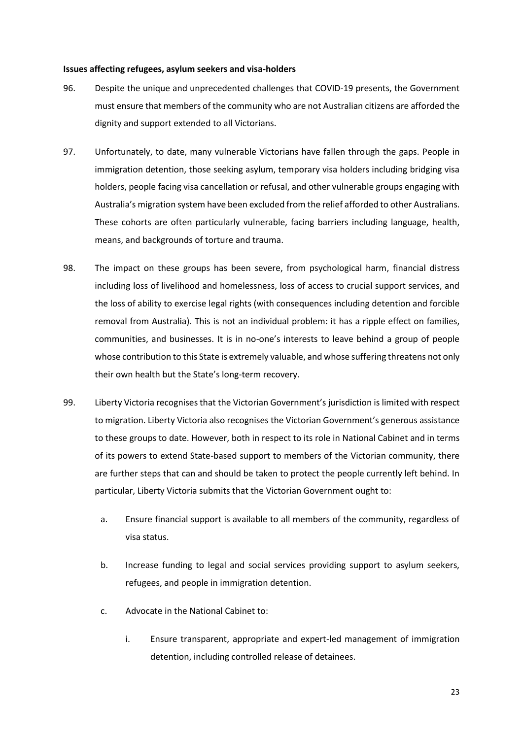#### **Issues affecting refugees, asylum seekers and visa-holders**

- 96. Despite the unique and unprecedented challenges that COVID-19 presents, the Government must ensure that members of the community who are not Australian citizens are afforded the dignity and support extended to all Victorians.
- 97. Unfortunately, to date, many vulnerable Victorians have fallen through the gaps. People in immigration detention, those seeking asylum, temporary visa holders including bridging visa holders, people facing visa cancellation or refusal, and other vulnerable groups engaging with Australia's migration system have been excluded from the relief afforded to other Australians. These cohorts are often particularly vulnerable, facing barriers including language, health, means, and backgrounds of torture and trauma.
- 98. The impact on these groups has been severe, from psychological harm, financial distress including loss of livelihood and homelessness, loss of access to crucial support services, and the loss of ability to exercise legal rights (with consequences including detention and forcible removal from Australia). This is not an individual problem: it has a ripple effect on families, communities, and businesses. It is in no-one's interests to leave behind a group of people whose contribution to this State is extremely valuable, and whose suffering threatens not only their own health but the State's long-term recovery.
- 99. Liberty Victoria recognises that the Victorian Government's jurisdiction is limited with respect to migration. Liberty Victoria also recognises the Victorian Government's generous assistance to these groups to date. However, both in respect to its role in National Cabinet and in terms of its powers to extend State-based support to members of the Victorian community, there are further steps that can and should be taken to protect the people currently left behind. In particular, Liberty Victoria submits that the Victorian Government ought to:
	- a. Ensure financial support is available to all members of the community, regardless of visa status.
	- b. Increase funding to legal and social services providing support to asylum seekers, refugees, and people in immigration detention.
	- c. Advocate in the National Cabinet to:
		- i. Ensure transparent, appropriate and expert-led management of immigration detention, including controlled release of detainees.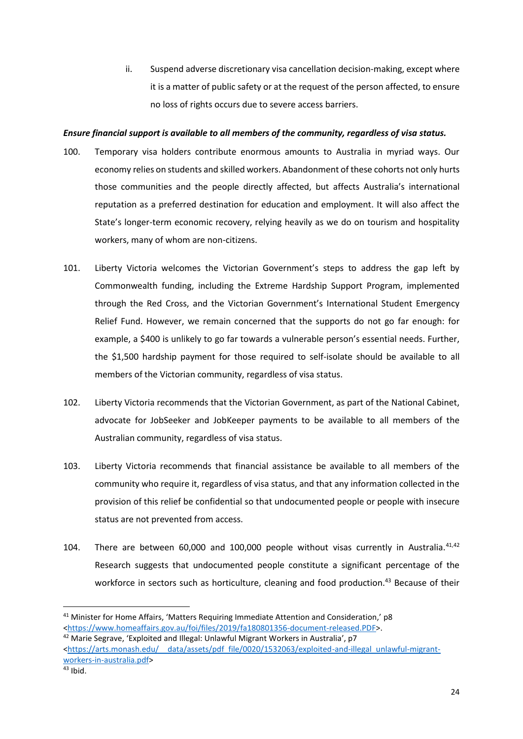ii. Suspend adverse discretionary visa cancellation decision-making, except where it is a matter of public safety or at the request of the person affected, to ensure no loss of rights occurs due to severe access barriers.

## *Ensure financial support is available to all members of the community, regardless of visa status.*

- 100. Temporary visa holders contribute enormous amounts to Australia in myriad ways. Our economy relies on students and skilled workers. Abandonment of these cohorts not only hurts those communities and the people directly affected, but affects Australia's international reputation as a preferred destination for education and employment. It will also affect the State's longer-term economic recovery, relying heavily as we do on tourism and hospitality workers, many of whom are non-citizens.
- 101. Liberty Victoria welcomes the Victorian Government's steps to address the gap left by Commonwealth funding, including the Extreme Hardship Support Program, implemented through the Red Cross, and the Victorian Government's International Student Emergency Relief Fund. However, we remain concerned that the supports do not go far enough: for example, a \$400 is unlikely to go far towards a vulnerable person's essential needs. Further, the \$1,500 hardship payment for those required to self-isolate should be available to all members of the Victorian community, regardless of visa status.
- 102. Liberty Victoria recommends that the Victorian Government, as part of the National Cabinet, advocate for JobSeeker and JobKeeper payments to be available to all members of the Australian community, regardless of visa status.
- 103. Liberty Victoria recommends that financial assistance be available to all members of the community who require it, regardless of visa status, and that any information collected in the provision of this relief be confidential so that undocumented people or people with insecure status are not prevented from access.
- 104. There are between 60,000 and 100,000 people without visas currently in Australia.<sup>41,42</sup> Research suggests that undocumented people constitute a significant percentage of the workforce in sectors such as horticulture, cleaning and food production.<sup>43</sup> Because of their

<sup>41</sup> Minister for Home Affairs, 'Matters Requiring Immediate Attention and Consideration,' p8 [<https://www.homeaffairs.gov.au/foi/files/2019/fa180801356-document-released.PDF>](https://www.homeaffairs.gov.au/foi/files/2019/fa180801356-document-released.PDF).

<sup>&</sup>lt;sup>42</sup> Marie Segrave, 'Exploited and Illegal: Unlawful Migrant Workers in Australia', p7 [<https://arts.monash.edu/\\_\\_data/assets/pdf\\_file/0020/1532063/exploited-and-illegal\\_unlawful-migrant](https://arts.monash.edu/__data/assets/pdf_file/0020/1532063/exploited-and-illegal_unlawful-migrant-workers-in-australia.pdf)[workers-in-australia.pdf>](https://arts.monash.edu/__data/assets/pdf_file/0020/1532063/exploited-and-illegal_unlawful-migrant-workers-in-australia.pdf)

 $43$  Ibid.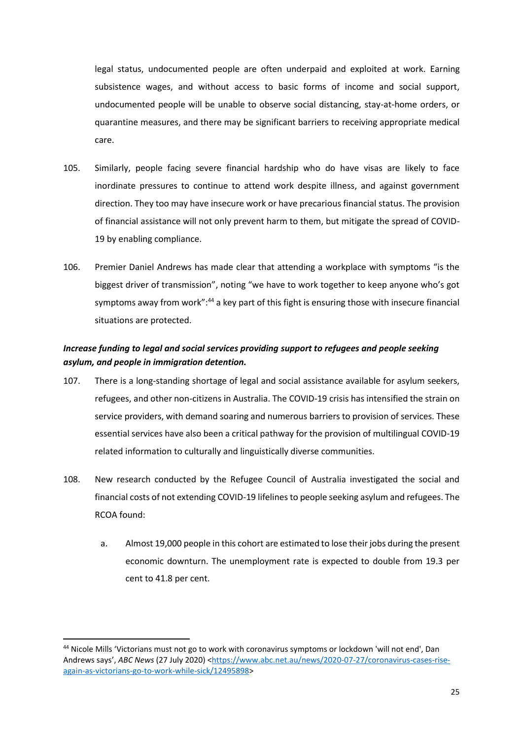legal status, undocumented people are often underpaid and exploited at work. Earning subsistence wages, and without access to basic forms of income and social support, undocumented people will be unable to observe social distancing, stay-at-home orders, or quarantine measures, and there may be significant barriers to receiving appropriate medical care.

- 105. Similarly, people facing severe financial hardship who do have visas are likely to face inordinate pressures to continue to attend work despite illness, and against government direction. They too may have insecure work or have precarious financial status. The provision of financial assistance will not only prevent harm to them, but mitigate the spread of COVID-19 by enabling compliance.
- 106. Premier Daniel Andrews has made clear that attending a workplace with symptoms "is the biggest driver of transmission", noting "we have to work together to keep anyone who's got symptoms away from work":<sup>44</sup> a key part of this fight is ensuring those with insecure financial situations are protected.

# *Increase funding to legal and social services providing support to refugees and people seeking asylum, and people in immigration detention.*

- 107. There is a long-standing shortage of legal and social assistance available for asylum seekers, refugees, and other non-citizens in Australia. The COVID-19 crisis has intensified the strain on service providers, with demand soaring and numerous barriers to provision of services. These essential services have also been a critical pathway for the provision of multilingual COVID-19 related information to culturally and linguistically diverse communities.
- 108. New research conducted by the Refugee Council of Australia investigated the social and financial costs of not extending COVID-19 lifelines to people seeking asylum and refugees. The RCOA found:
	- a. Almost 19,000 people in this cohort are estimated to lose their jobs during the present economic downturn. The unemployment rate is expected to double from 19.3 per cent to 41.8 per cent.

<sup>44</sup> Nicole Mills 'Victorians must not go to work with coronavirus symptoms or lockdown 'will not end', Dan Andrews says', *ABC News* (27 July 2020) [<https://www.abc.net.au/news/2020-07-27/coronavirus-cases-rise](https://www.abc.net.au/news/2020-07-27/coronavirus-cases-rise-again-as-victorians-go-to-work-while-sick/12495898)[again-as-victorians-go-to-work-while-sick/12495898>](https://www.abc.net.au/news/2020-07-27/coronavirus-cases-rise-again-as-victorians-go-to-work-while-sick/12495898)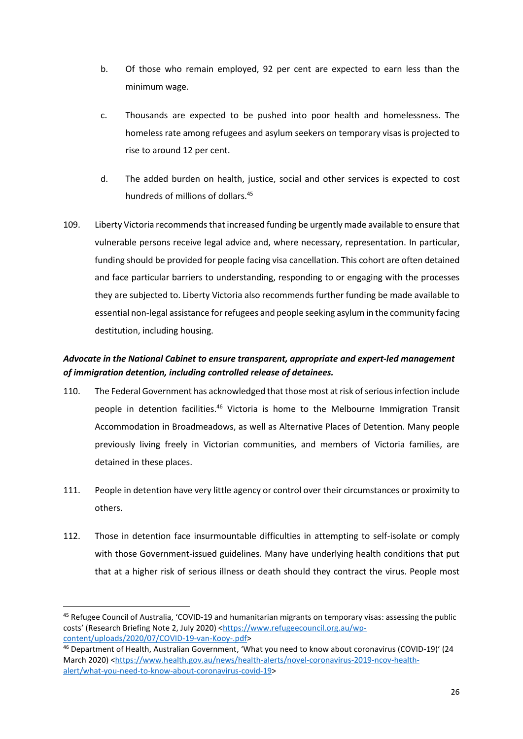- b. Of those who remain employed, 92 per cent are expected to earn less than the minimum wage.
- c. Thousands are expected to be pushed into poor health and homelessness. The homeless rate among refugees and asylum seekers on temporary visas is projected to rise to around 12 per cent.
- d. The added burden on health, justice, social and other services is expected to cost hundreds of millions of dollars.<sup>45</sup>
- 109. Liberty Victoria recommends that increased funding be urgently made available to ensure that vulnerable persons receive legal advice and, where necessary, representation. In particular, funding should be provided for people facing visa cancellation. This cohort are often detained and face particular barriers to understanding, responding to or engaging with the processes they are subjected to. Liberty Victoria also recommends further funding be made available to essential non-legal assistance for refugees and people seeking asylum in the community facing destitution, including housing.

# *Advocate in the National Cabinet to ensure transparent, appropriate and expert-led management of immigration detention, including controlled release of detainees.*

- 110. The Federal Government has acknowledged that those most at risk of serious infection include people in detention facilities.<sup>46</sup> Victoria is home to the Melbourne Immigration Transit Accommodation in Broadmeadows, as well as Alternative Places of Detention. Many people previously living freely in Victorian communities, and members of Victoria families, are detained in these places.
- 111. People in detention have very little agency or control over their circumstances or proximity to others.
- 112. Those in detention face insurmountable difficulties in attempting to self-isolate or comply with those Government-issued guidelines. Many have underlying health conditions that put that at a higher risk of serious illness or death should they contract the virus. People most

<sup>45</sup> Refugee Council of Australia, 'COVID-19 and humanitarian migrants on temporary visas: assessing the public costs' (Research Briefing Note 2, July 2020) <[https://www.refugeecouncil.org.au/wp](https://www.refugeecouncil.org.au/wp-content/uploads/2020/07/COVID-19-van-Kooy-.pdf)[content/uploads/2020/07/COVID-19-van-Kooy-.pdf>](https://www.refugeecouncil.org.au/wp-content/uploads/2020/07/COVID-19-van-Kooy-.pdf)

<sup>46</sup> Department of Health, Australian Government, 'What you need to know about coronavirus (COVID-19)' (24 March 2020) [<https://www.health.gov.au/news/health-alerts/novel-coronavirus-2019-ncov-health](https://www.health.gov.au/news/health-alerts/novel-coronavirus-2019-ncov-health-alert/what-you-need-to-know-about-coronavirus-covid-19)[alert/what-you-need-to-know-about-coronavirus-covid-19>](https://www.health.gov.au/news/health-alerts/novel-coronavirus-2019-ncov-health-alert/what-you-need-to-know-about-coronavirus-covid-19)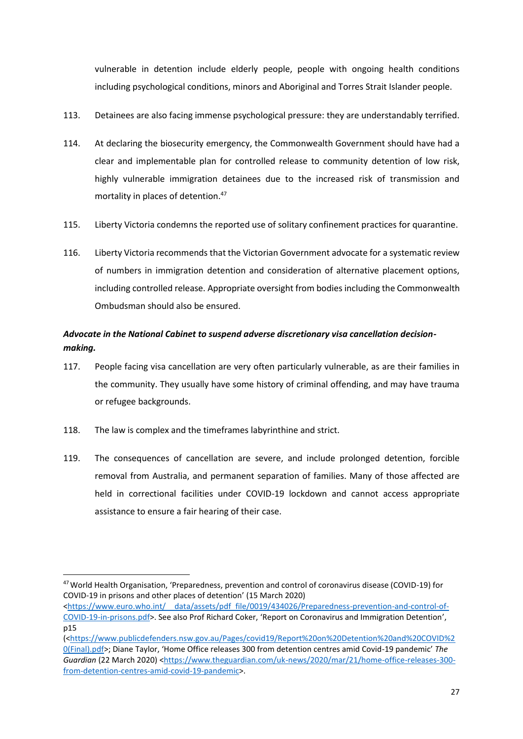vulnerable in detention include elderly people, people with ongoing health conditions including psychological conditions, minors and Aboriginal and Torres Strait Islander people.

- 113. Detainees are also facing immense psychological pressure: they are understandably terrified.
- 114. At declaring the biosecurity emergency, the Commonwealth Government should have had a clear and implementable plan for controlled release to community detention of low risk, highly vulnerable immigration detainees due to the increased risk of transmission and mortality in places of detention.<sup>47</sup>
- 115. Liberty Victoria condemns the reported use of solitary confinement practices for quarantine.
- 116. Liberty Victoria recommends that the Victorian Government advocate for a systematic review of numbers in immigration detention and consideration of alternative placement options, including controlled release. Appropriate oversight from bodies including the Commonwealth Ombudsman should also be ensured.

# *Advocate in the National Cabinet to suspend adverse discretionary visa cancellation decisionmaking.*

- 117. People facing visa cancellation are very often particularly vulnerable, as are their families in the community. They usually have some history of criminal offending, and may have trauma or refugee backgrounds.
- 118. The law is complex and the timeframes labyrinthine and strict.
- 119. The consequences of cancellation are severe, and include prolonged detention, forcible removal from Australia, and permanent separation of families. Many of those affected are held in correctional facilities under COVID-19 lockdown and cannot access appropriate assistance to ensure a fair hearing of their case.

<sup>47</sup>World Health Organisation, 'Preparedness, prevention and control of coronavirus disease (COVID-19) for COVID-19 in prisons and other places of detention' (15 March 2020)

<sup>&</sup>lt;https://www.euro.who.int/ data/assets/pdf file/0019/434026/Preparedness-prevention-and-control-of-[COVID-19-in-prisons.pdf>](https://www.euro.who.int/__data/assets/pdf_file/0019/434026/Preparedness-prevention-and-control-of-COVID-19-in-prisons.pdf). See also Prof Richard Coker, 'Report on Coronavirus and Immigration Detention', p15

<sup>(</sup>[<https://www.publicdefenders.nsw.gov.au/Pages/covid19/Report%20on%20Detention%20and%20COVID%2](https://www.publicdefenders.nsw.gov.au/Pages/covid19/Report%20on%20Detention%20and%20COVID%20(Final).pdf) [0\(Final\).pdf>](https://www.publicdefenders.nsw.gov.au/Pages/covid19/Report%20on%20Detention%20and%20COVID%20(Final).pdf); Diane Taylor, 'Home Office releases 300 from detention centres amid Covid-19 pandemic' *The Guardian* (22 March 2020) [<https://www.theguardian.com/uk-news/2020/mar/21/home-office-releases-300](https://www.theguardian.com/uk-news/2020/mar/21/home-office-releases-300-from-detention-centres-amid-covid-19-pandemic) [from-detention-centres-amid-covid-19-pandemic>](https://www.theguardian.com/uk-news/2020/mar/21/home-office-releases-300-from-detention-centres-amid-covid-19-pandemic).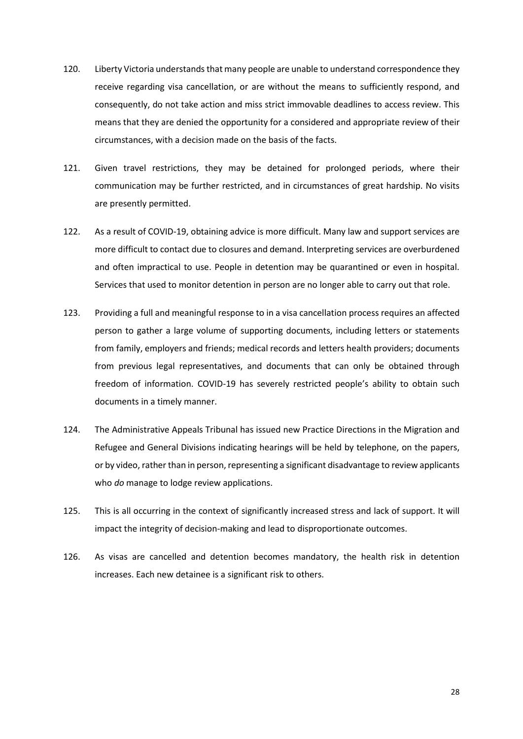- 120. Liberty Victoria understands that many people are unable to understand correspondence they receive regarding visa cancellation, or are without the means to sufficiently respond, and consequently, do not take action and miss strict immovable deadlines to access review. This means that they are denied the opportunity for a considered and appropriate review of their circumstances, with a decision made on the basis of the facts.
- 121. Given travel restrictions, they may be detained for prolonged periods, where their communication may be further restricted, and in circumstances of great hardship. No visits are presently permitted.
- 122. As a result of COVID-19, obtaining advice is more difficult. Many law and support services are more difficult to contact due to closures and demand. Interpreting services are overburdened and often impractical to use. People in detention may be quarantined or even in hospital. Services that used to monitor detention in person are no longer able to carry out that role.
- 123. Providing a full and meaningful response to in a visa cancellation process requires an affected person to gather a large volume of supporting documents, including letters or statements from family, employers and friends; medical records and letters health providers; documents from previous legal representatives, and documents that can only be obtained through freedom of information. COVID-19 has severely restricted people's ability to obtain such documents in a timely manner.
- 124. The Administrative Appeals Tribunal has issued new Practice Directions in the Migration and Refugee and General Divisions indicating hearings will be held by telephone, on the papers, or by video, rather than in person, representing a significant disadvantage to review applicants who *do* manage to lodge review applications.
- 125. This is all occurring in the context of significantly increased stress and lack of support. It will impact the integrity of decision-making and lead to disproportionate outcomes.
- 126. As visas are cancelled and detention becomes mandatory, the health risk in detention increases. Each new detainee is a significant risk to others.